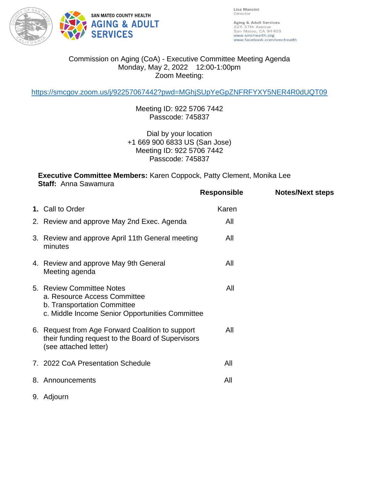

Lisa Mancini Director

Aging & Adult Services 225 37th Avenue<br>San Mateo, CA 94403 www.smchealth.org www.facebook.com/smchealth

## Commission on Aging (CoA) - Executive Committee Meeting Agenda Monday, May 2, 2022 12:00-1:00pm Zoom Meeting:

<https://smcgov.zoom.us/j/92257067442?pwd=MGhjSUpYeGpZNFRFYXY5NER4R0dUQT09>

Meeting ID: 922 5706 7442 Passcode: 745837

Dial by your location +1 669 900 6833 US (San Jose) Meeting ID: 922 5706 7442 Passcode: 745837

**Executive Committee Members:** Karen Coppock, Patty Clement, Monika Lee **Staff:** Anna Sawamura

|                                                                                                                                             | Responsible | <b>Notes/Next steps</b> |
|---------------------------------------------------------------------------------------------------------------------------------------------|-------------|-------------------------|
| 1. Call to Order                                                                                                                            | Karen       |                         |
| 2. Review and approve May 2nd Exec. Agenda                                                                                                  | All         |                         |
| 3. Review and approve April 11th General meeting<br>minutes                                                                                 | All         |                         |
| 4. Review and approve May 9th General<br>Meeting agenda                                                                                     | All         |                         |
| 5. Review Committee Notes<br>a. Resource Access Committee<br>b. Transportation Committee<br>c. Middle Income Senior Opportunities Committee | All         |                         |
| 6. Request from Age Forward Coalition to support<br>their funding request to the Board of Supervisors<br>(see attached letter)              | All         |                         |
| 7. 2022 CoA Presentation Schedule                                                                                                           | All         |                         |
| 8. Announcements                                                                                                                            | All         |                         |
| 9. Adjourn                                                                                                                                  |             |                         |